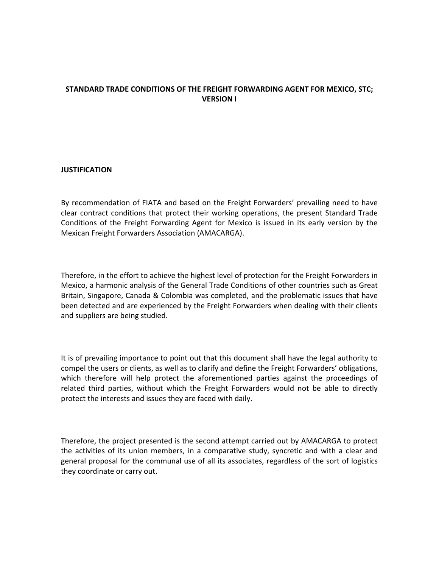# **STANDARD TRADE CONDITIONS OF THE FREIGHT FORWARDING AGENT FOR MEXICO, STC; VERSION I**

## **JUSTIFICATION**

By recommendation of FIATA and based on the Freight Forwarders' prevailing need to have clear contract conditions that protect their working operations, the present Standard Trade Conditions of the Freight Forwarding Agent for Mexico is issued in its early version by the Mexican Freight Forwarders Association (AMACARGA).

Therefore, in the effort to achieve the highest level of protection for the Freight Forwarders in Mexico, a harmonic analysis of the General Trade Conditions of other countries such as Great Britain, Singapore, Canada & Colombia was completed, and the problematic issues that have been detected and are experienced by the Freight Forwarders when dealing with their clients and suppliers are being studied.

It is of prevailing importance to point out that this document shall have the legal authority to compel the users or clients, as well as to clarify and define the Freight Forwarders' obligations, which therefore will help protect the aforementioned parties against the proceedings of related third parties, without which the Freight Forwarders would not be able to directly protect the interests and issues they are faced with daily.

Therefore, the project presented is the second attempt carried out by AMACARGA to protect the activities of its union members, in a comparative study, syncretic and with a clear and general proposal for the communal use of all its associates, regardless of the sort of logistics they coordinate or carry out.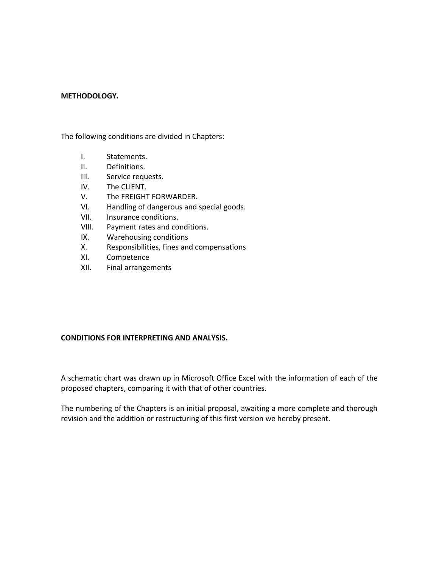#### **METHODOLOGY.**

The following conditions are divided in Chapters:

- I. Statements.
- II. Definitions.
- III. Service requests.
- IV. The CLIENT.
- V. The FREIGHT FORWARDER.
- VI. Handling of dangerous and special goods.
- VII. Insurance conditions.
- VIII. Payment rates and conditions.
- IX. Warehousing conditions
- X. Responsibilities, fines and compensations
- XI. Competence
- XII. Final arrangements

#### **CONDITIONS FOR INTERPRETING AND ANALYSIS.**

A schematic chart was drawn up in Microsoft Office Excel with the information of each of the proposed chapters, comparing it with that of other countries.

The numbering of the Chapters is an initial proposal, awaiting a more complete and thorough revision and the addition or restructuring of this first version we hereby present.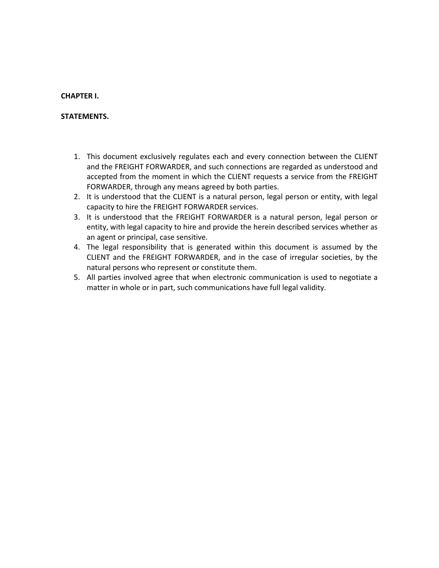### **CHAPTER I.**

# **STATEMENTS.**

- 1. This document exclusively regulates each and every connection between the CLIENT and the FREIGHT FORWARDER, and such connections are regarded as understood and accepted from the moment in which the CLIENT requests a service from the FREIGHT FORWARDER, through any means agreed by both parties.
- 2. It is understood that the CLIENT is a natural person, legal person or entity, with legal capacity to hire the FREIGHT FORWARDER services.
- 3. It is understood that the FREIGHT FORWARDER is a natural person, legal person or entity, with legal capacity to hire and provide the herein described services whether as an agent or principal, case sensitive.
- 4. The legal responsibility that is generated within this document is assumed by the CLIENT and the FREIGHT FORWARDER, and in the case of irregular societies, by the natural persons who represent or constitute them.
- 5. All parties involved agree that when electronic communication is used to negotiate a matter in whole or in part, such communications have full legal validity.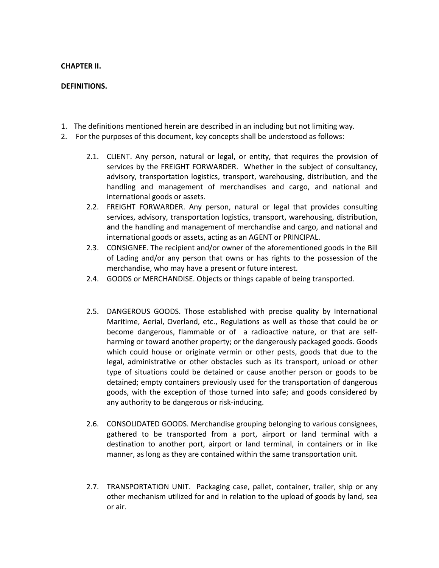### **CHAPTER II.**

# **DEFINITIONS.**

- 1. The definitions mentioned herein are described in an including but not limiting way.
- 2. For the purposes of this document, key concepts shall be understood as follows:
	- 2.1. CLIENT. Any person, natural or legal, or entity, that requires the provision of services by the FREIGHT FORWARDER. Whether in the subject of consultancy, advisory, transportation logistics, transport, warehousing, distribution, and the handling and management of merchandises and cargo, and national and international goods or assets.
	- 2.2. FREIGHT FORWARDER. Any person, natural or legal that provides consulting services, advisory, transportation logistics, transport, warehousing, distribution, **a**nd the handling and management of merchandise and cargo, and national and international goods or assets, acting as an AGENT or PRINCIPAL.
	- 2.3. CONSIGNEE. The recipient and/or owner of the aforementioned goods in the Bill of Lading and/or any person that owns or has rights to the possession of the merchandise, who may have a present or future interest.
	- 2.4. GOODS or MERCHANDISE. Objects or things capable of being transported.
	- 2.5. DANGEROUS GOODS. Those established with precise quality by International Maritime, Aerial, Overland, etc., Regulations as well as those that could be or become dangerous, flammable or of a radioactive nature, or that are selfharming or toward another property; or the dangerously packaged goods. Goods which could house or originate vermin or other pests, goods that due to the legal, administrative or other obstacles such as its transport, unload or other type of situations could be detained or cause another person or goods to be detained; empty containers previously used for the transportation of dangerous goods, with the exception of those turned into safe; and goods considered by any authority to be dangerous or risk-inducing.
	- 2.6. CONSOLIDATED GOODS. Merchandise grouping belonging to various consignees, gathered to be transported from a port, airport or land terminal with a destination to another port, airport or land terminal, in containers or in like manner, as long as they are contained within the same transportation unit.
	- 2.7. TRANSPORTATION UNIT. Packaging case, pallet, container, trailer, ship or any other mechanism utilized for and in relation to the upload of goods by land, sea or air.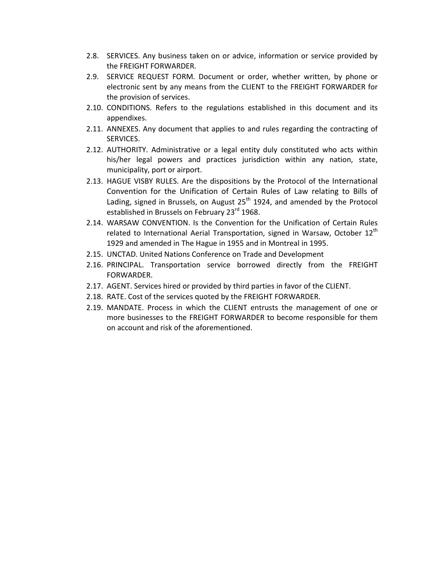- 2.8. SERVICES. Any business taken on or advice, information or service provided by the FREIGHT FORWARDER.
- 2.9. SERVICE REQUEST FORM. Document or order, whether written, by phone or electronic sent by any means from the CLIENT to the FREIGHT FORWARDER for the provision of services.
- 2.10. CONDITIONS. Refers to the regulations established in this document and its appendixes.
- 2.11. ANNEXES. Any document that applies to and rules regarding the contracting of SERVICES.
- 2.12. AUTHORITY. Administrative or a legal entity duly constituted who acts within his/her legal powers and practices jurisdiction within any nation, state, municipality, port or airport.
- 2.13. HAGUE VISBY RULES. Are the dispositions by the Protocol of the International Convention for the Unification of Certain Rules of Law relating to Bills of Lading, signed in Brussels, on August  $25<sup>th</sup>$  1924, and amended by the Protocol established in Brussels on February 23<sup>rd</sup> 1968.
- 2.14. WARSAW CONVENTION. Is the Convention for the Unification of Certain Rules related to International Aerial Transportation, signed in Warsaw, October  $12<sup>th</sup>$ 1929 and amended in The Hague in 1955 and in Montreal in 1995.
- 2.15. UNCTAD. United Nations Conference on Trade and Development
- 2.16. PRINCIPAL. Transportation service borrowed directly from the FREIGHT FORWARDER.
- 2.17. AGENT. Services hired or provided by third parties in favor of the CLIENT.
- 2.18. RATE. Cost of the services quoted by the FREIGHT FORWARDER.
- 2.19. MANDATE. Process in which the CLIENT entrusts the management of one or more businesses to the FREIGHT FORWARDER to become responsible for them on account and risk of the aforementioned.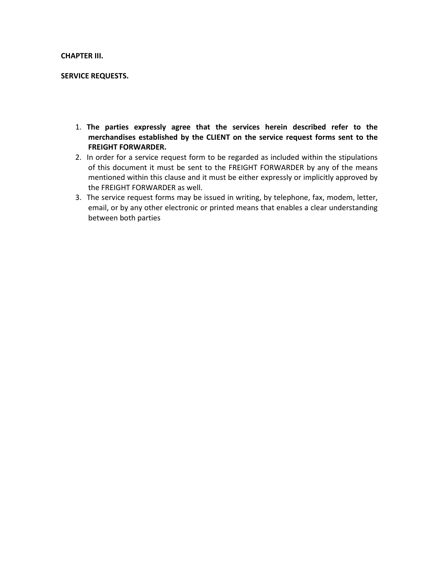### **CHAPTER III.**

#### **SERVICE REQUESTS.**

- 1. **The parties expressly agree that the services herein described refer to the merchandises established by the CLIENT on the service request forms sent to the FREIGHT FORWARDER.**
- 2. In order for a service request form to be regarded as included within the stipulations of this document it must be sent to the FREIGHT FORWARDER by any of the means mentioned within this clause and it must be either expressly or implicitly approved by the FREIGHT FORWARDER as well.
- 3. The service request forms may be issued in writing, by telephone, fax, modem, letter, email, or by any other electronic or printed means that enables a clear understanding between both parties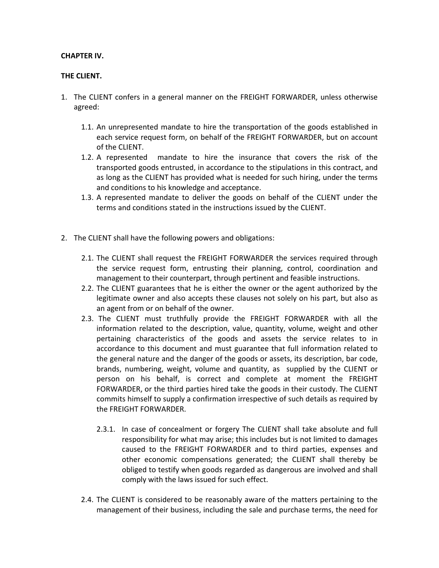# **CHAPTER IV.**

# **THE CLIENT.**

- 1. The CLIENT confers in a general manner on the FREIGHT FORWARDER, unless otherwise agreed:
	- 1.1. An unrepresented mandate to hire the transportation of the goods established in each service request form, on behalf of the FREIGHT FORWARDER, but on account of the CLIENT.
	- 1.2. A represented mandate to hire the insurance that covers the risk of the transported goods entrusted, in accordance to the stipulations in this contract, and as long as the CLIENT has provided what is needed for such hiring, under the terms and conditions to his knowledge and acceptance.
	- 1.3. A represented mandate to deliver the goods on behalf of the CLIENT under the terms and conditions stated in the instructions issued by the CLIENT.
- 2. The CLIENT shall have the following powers and obligations:
	- 2.1. The CLIENT shall request the FREIGHT FORWARDER the services required through the service request form, entrusting their planning, control, coordination and management to their counterpart, through pertinent and feasible instructions.
	- 2.2. The CLIENT guarantees that he is either the owner or the agent authorized by the legitimate owner and also accepts these clauses not solely on his part, but also as an agent from or on behalf of the owner.
	- 2.3. The CLIENT must truthfully provide the FREIGHT FORWARDER with all the information related to the description, value, quantity, volume, weight and other pertaining characteristics of the goods and assets the service relates to in accordance to this document and must guarantee that full information related to the general nature and the danger of the goods or assets, its description, bar code, brands, numbering, weight, volume and quantity, as supplied by the CLIENT or person on his behalf, is correct and complete at moment the FREIGHT FORWARDER, or the third parties hired take the goods in their custody. The CLIENT commits himself to supply a confirmation irrespective of such details as required by the FREIGHT FORWARDER.
		- 2.3.1. In case of concealment or forgery The CLIENT shall take absolute and full responsibility for what may arise; this includes but is not limited to damages caused to the FREIGHT FORWARDER and to third parties, expenses and other economic compensations generated; the CLIENT shall thereby be obliged to testify when goods regarded as dangerous are involved and shall comply with the laws issued for such effect.
	- 2.4. The CLIENT is considered to be reasonably aware of the matters pertaining to the management of their business, including the sale and purchase terms, the need for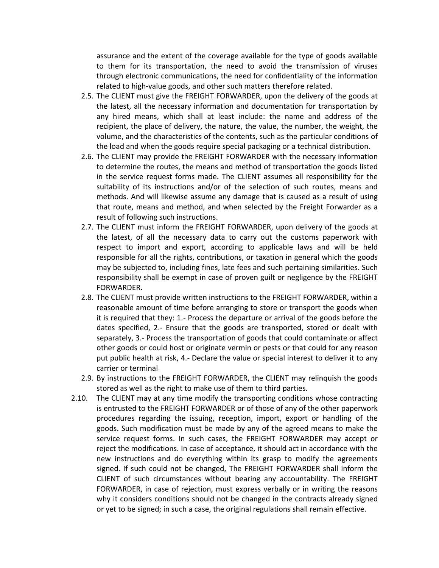assurance and the extent of the coverage available for the type of goods available to them for its transportation, the need to avoid the transmission of viruses through electronic communications, the need for confidentiality of the information related to high-value goods, and other such matters therefore related.

- 2.5. The CLIENT must give the FREIGHT FORWARDER, upon the delivery of the goods at the latest, all the necessary information and documentation for transportation by any hired means, which shall at least include: the name and address of the recipient, the place of delivery, the nature, the value, the number, the weight, the volume, and the characteristics of the contents, such as the particular conditions of the load and when the goods require special packaging or a technical distribution.
- 2.6. The CLIENT may provide the FREIGHT FORWARDER with the necessary information to determine the routes, the means and method of transportation the goods listed in the service request forms made. The CLIENT assumes all responsibility for the suitability of its instructions and/or of the selection of such routes, means and methods. And will likewise assume any damage that is caused as a result of using that route, means and method, and when selected by the Freight Forwarder as a result of following such instructions.
- 2.7. The CLIENT must inform the FREIGHT FORWARDER, upon delivery of the goods at the latest, of all the necessary data to carry out the customs paperwork with respect to import and export, according to applicable laws and will be held responsible for all the rights, contributions, or taxation in general which the goods may be subjected to, including fines, late fees and such pertaining similarities. Such responsibility shall be exempt in case of proven guilt or negligence by the FREIGHT FORWARDER.
- 2.8. The CLIENT must provide written instructions to the FREIGHT FORWARDER, within a reasonable amount of time before arranging to store or transport the goods when it is required that they: 1.- Process the departure or arrival of the goods before the dates specified, 2.- Ensure that the goods are transported, stored or dealt with separately, 3.- Process the transportation of goods that could contaminate or affect other goods or could host or originate vermin or pests or that could for any reason put public health at risk, 4.- Declare the value or special interest to deliver it to any carrier or terminal.
- 2.9. By instructions to the FREIGHT FORWARDER, the CLIENT may relinquish the goods stored as well as the right to make use of them to third parties.
- 2.10. The CLIENT may at any time modify the transporting conditions whose contracting is entrusted to the FREIGHT FORWARDER or of those of any of the other paperwork procedures regarding the issuing, reception, import, export or handling of the goods. Such modification must be made by any of the agreed means to make the service request forms. In such cases, the FREIGHT FORWARDER may accept or reject the modifications. In case of acceptance, it should act in accordance with the new instructions and do everything within its grasp to modify the agreements signed. If such could not be changed, The FREIGHT FORWARDER shall inform the CLIENT of such circumstances without bearing any accountability. The FREIGHT FORWARDER, in case of rejection, must express verbally or in writing the reasons why it considers conditions should not be changed in the contracts already signed or yet to be signed; in such a case, the original regulations shall remain effective.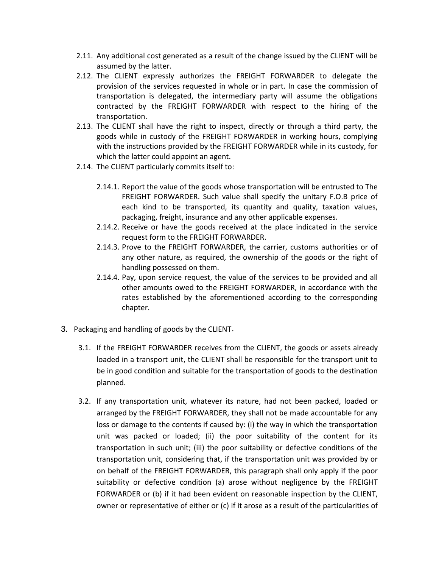- 2.11. Any additional cost generated as a result of the change issued by the CLIENT will be assumed by the latter.
- 2.12. The CLIENT expressly authorizes the FREIGHT FORWARDER to delegate the provision of the services requested in whole or in part. In case the commission of transportation is delegated, the intermediary party will assume the obligations contracted by the FREIGHT FORWARDER with respect to the hiring of the transportation.
- 2.13. The CLIENT shall have the right to inspect, directly or through a third party, the goods while in custody of the FREIGHT FORWARDER in working hours, complying with the instructions provided by the FREIGHT FORWARDER while in its custody, for which the latter could appoint an agent.
- 2.14. The CLIENT particularly commits itself to:
	- 2.14.1. Report the value of the goods whose transportation will be entrusted to The FREIGHT FORWARDER. Such value shall specify the unitary F.O.B price of each kind to be transported, its quantity and quality, taxation values, packaging, freight, insurance and any other applicable expenses.
	- 2.14.2. Receive or have the goods received at the place indicated in the service request form to the FREIGHT FORWARDER.
	- 2.14.3. Prove to the FREIGHT FORWARDER, the carrier, customs authorities or of any other nature, as required, the ownership of the goods or the right of handling possessed on them.
	- 2.14.4. Pay, upon service request, the value of the services to be provided and all other amounts owed to the FREIGHT FORWARDER, in accordance with the rates established by the aforementioned according to the corresponding chapter.
- 3. Packaging and handling of goods by the CLIENT.
	- 3.1. If the FREIGHT FORWARDER receives from the CLIENT, the goods or assets already loaded in a transport unit, the CLIENT shall be responsible for the transport unit to be in good condition and suitable for the transportation of goods to the destination planned.
	- 3.2. If any transportation unit, whatever its nature, had not been packed, loaded or arranged by the FREIGHT FORWARDER, they shall not be made accountable for any loss or damage to the contents if caused by: (i) the way in which the transportation unit was packed or loaded; (ii) the poor suitability of the content for its transportation in such unit; (iii) the poor suitability or defective conditions of the transportation unit, considering that, if the transportation unit was provided by or on behalf of the FREIGHT FORWARDER, this paragraph shall only apply if the poor suitability or defective condition (a) arose without negligence by the FREIGHT FORWARDER or (b) if it had been evident on reasonable inspection by the CLIENT, owner or representative of either or (c) if it arose as a result of the particularities of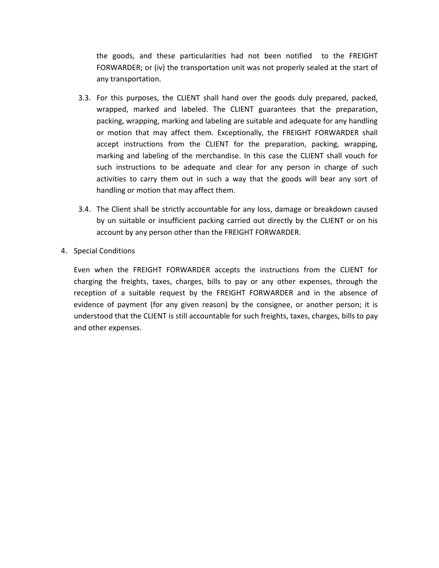the goods, and these particularities had not been notified to the FREIGHT FORWARDER; or (iv) the transportation unit was not properly sealed at the start of any transportation.

- 3.3. For this purposes, the CLIENT shall hand over the goods duly prepared, packed, wrapped, marked and labeled. The CLIENT guarantees that the preparation, packing, wrapping, marking and labeling are suitable and adequate for any handling or motion that may affect them. Exceptionally, the FREIGHT FORWARDER shall accept instructions from the CLIENT for the preparation, packing, wrapping, marking and labeling of the merchandise. In this case the CLIENT shall vouch for such instructions to be adequate and clear for any person in charge of such activities to carry them out in such a way that the goods will bear any sort of handling or motion that may affect them.
- 3.4. The Client shall be strictly accountable for any loss, damage or breakdown caused by un suitable or insufficient packing carried out directly by the CLIENT or on his account by any person other than the FREIGHT FORWARDER.
- 4. Special Conditions

Even when the FREIGHT FORWARDER accepts the instructions from the CLIENT for charging the freights, taxes, charges, bills to pay or any other expenses, through the reception of a suitable request by the FREIGHT FORWARDER and in the absence of evidence of payment (for any given reason) by the consignee, or another person; it is understood that the CLIENT is still accountable for such freights, taxes, charges, bills to pay and other expenses.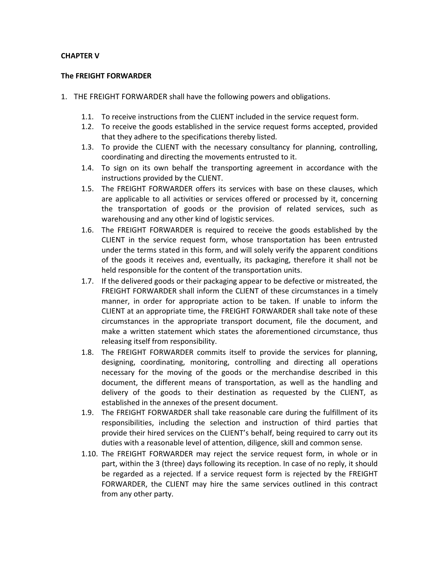# **CHAPTER V**

### **The FREIGHT FORWARDER**

- 1. THE FREIGHT FORWARDER shall have the following powers and obligations.
	- 1.1. To receive instructions from the CLIENT included in the service request form.
	- 1.2. To receive the goods established in the service request forms accepted, provided that they adhere to the specifications thereby listed.
	- 1.3. To provide the CLIENT with the necessary consultancy for planning, controlling, coordinating and directing the movements entrusted to it.
	- 1.4. To sign on its own behalf the transporting agreement in accordance with the instructions provided by the CLIENT.
	- 1.5. The FREIGHT FORWARDER offers its services with base on these clauses, which are applicable to all activities or services offered or processed by it, concerning the transportation of goods or the provision of related services, such as warehousing and any other kind of logistic services.
	- 1.6. The FREIGHT FORWARDER is required to receive the goods established by the CLIENT in the service request form, whose transportation has been entrusted under the terms stated in this form, and will solely verify the apparent conditions of the goods it receives and, eventually, its packaging, therefore it shall not be held responsible for the content of the transportation units.
	- 1.7. If the delivered goods or their packaging appear to be defective or mistreated, the FREIGHT FORWARDER shall inform the CLIENT of these circumstances in a timely manner, in order for appropriate action to be taken. If unable to inform the CLIENT at an appropriate time, the FREIGHT FORWARDER shall take note of these circumstances in the appropriate transport document, file the document, and make a written statement which states the aforementioned circumstance, thus releasing itself from responsibility.
	- 1.8. The FREIGHT FORWARDER commits itself to provide the services for planning, designing, coordinating, monitoring, controlling and directing all operations necessary for the moving of the goods or the merchandise described in this document, the different means of transportation, as well as the handling and delivery of the goods to their destination as requested by the CLIENT, as established in the annexes of the present document.
	- 1.9. The FREIGHT FORWARDER shall take reasonable care during the fulfillment of its responsibilities, including the selection and instruction of third parties that provide their hired services on the CLIENT's behalf, being required to carry out its duties with a reasonable level of attention, diligence, skill and common sense.
	- 1.10. The FREIGHT FORWARDER may reject the service request form, in whole or in part, within the 3 (three) days following its reception. In case of no reply, it should be regarded as a rejected. If a service request form is rejected by the FREIGHT FORWARDER, the CLIENT may hire the same services outlined in this contract from any other party.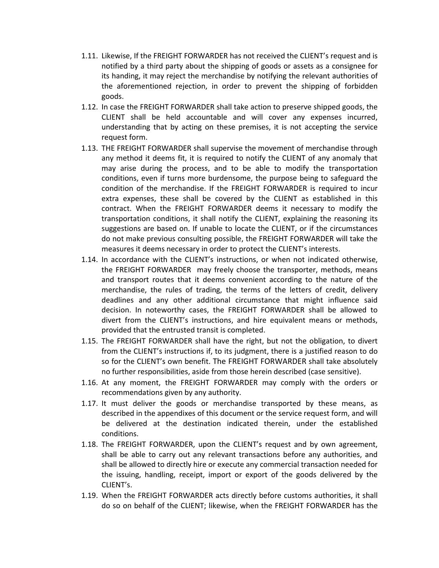- 1.11. Likewise, If the FREIGHT FORWARDER has not received the CLIENT's request and is notified by a third party about the shipping of goods or assets as a consignee for its handing, it may reject the merchandise by notifying the relevant authorities of the aforementioned rejection, in order to prevent the shipping of forbidden goods.
- 1.12. In case the FREIGHT FORWARDER shall take action to preserve shipped goods, the CLIENT shall be held accountable and will cover any expenses incurred, understanding that by acting on these premises, it is not accepting the service request form.
- 1.13. THE FREIGHT FORWARDER shall supervise the movement of merchandise through any method it deems fit, it is required to notify the CLIENT of any anomaly that may arise during the process, and to be able to modify the transportation conditions, even if turns more burdensome, the purpose being to safeguard the condition of the merchandise. If the FREIGHT FORWARDER is required to incur extra expenses, these shall be covered by the CLIENT as established in this contract. When the FREIGHT FORWARDER deems it necessary to modify the transportation conditions, it shall notify the CLIENT, explaining the reasoning its suggestions are based on. If unable to locate the CLIENT, or if the circumstances do not make previous consulting possible, the FREIGHT FORWARDER will take the measures it deems necessary in order to protect the CLIENT's interests.
- 1.14. In accordance with the CLIENT's instructions, or when not indicated otherwise, the FREIGHT FORWARDER may freely choose the transporter, methods, means and transport routes that it deems convenient according to the nature of the merchandise, the rules of trading, the terms of the letters of credit, delivery deadlines and any other additional circumstance that might influence said decision. In noteworthy cases, the FREIGHT FORWARDER shall be allowed to divert from the CLIENT's instructions, and hire equivalent means or methods, provided that the entrusted transit is completed.
- 1.15. The FREIGHT FORWARDER shall have the right, but not the obligation, to divert from the CLIENT's instructions if, to its judgment, there is a justified reason to do so for the CLIENT's own benefit. The FREIGHT FORWARDER shall take absolutely no further responsibilities, aside from those herein described (case sensitive).
- 1.16. At any moment, the FREIGHT FORWARDER may comply with the orders or recommendations given by any authority.
- 1.17. It must deliver the goods or merchandise transported by these means, as described in the appendixes of this document or the service request form, and will be delivered at the destination indicated therein, under the established conditions.
- 1.18. The FREIGHT FORWARDER, upon the CLIENT's request and by own agreement, shall be able to carry out any relevant transactions before any authorities, and shall be allowed to directly hire or execute any commercial transaction needed for the issuing, handling, receipt, import or export of the goods delivered by the CLIENT's.
- 1.19. When the FREIGHT FORWARDER acts directly before customs authorities, it shall do so on behalf of the CLIENT; likewise, when the FREIGHT FORWARDER has the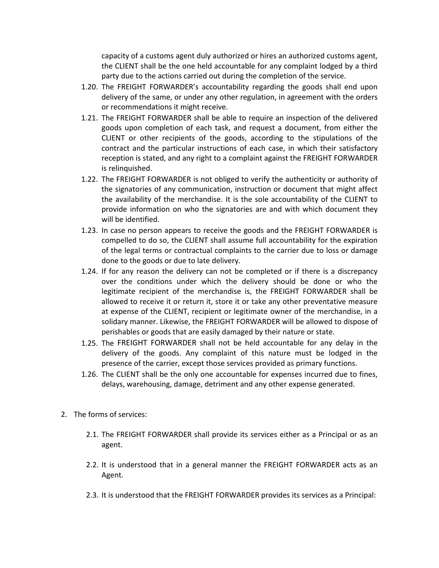capacity of a customs agent duly authorized or hires an authorized customs agent, the CLIENT shall be the one held accountable for any complaint lodged by a third party due to the actions carried out during the completion of the service.

- 1.20. The FREIGHT FORWARDER's accountability regarding the goods shall end upon delivery of the same, or under any other regulation, in agreement with the orders or recommendations it might receive.
- 1.21. The FREIGHT FORWARDER shall be able to require an inspection of the delivered goods upon completion of each task, and request a document, from either the CLIENT or other recipients of the goods, according to the stipulations of the contract and the particular instructions of each case, in which their satisfactory reception is stated, and any right to a complaint against the FREIGHT FORWARDER is relinquished.
- 1.22. The FREIGHT FORWARDER is not obliged to verify the authenticity or authority of the signatories of any communication, instruction or document that might affect the availability of the merchandise. It is the sole accountability of the CLIENT to provide information on who the signatories are and with which document they will be identified.
- 1.23. In case no person appears to receive the goods and the FREIGHT FORWARDER is compelled to do so, the CLIENT shall assume full accountability for the expiration of the legal terms or contractual complaints to the carrier due to loss or damage done to the goods or due to late delivery.
- 1.24. If for any reason the delivery can not be completed or if there is a discrepancy over the conditions under which the delivery should be done or who the legitimate recipient of the merchandise is, the FREIGHT FORWARDER shall be allowed to receive it or return it, store it or take any other preventative measure at expense of the CLIENT, recipient or legitimate owner of the merchandise, in a solidary manner. Likewise, the FREIGHT FORWARDER will be allowed to dispose of perishables or goods that are easily damaged by their nature or state.
- 1.25. The FREIGHT FORWARDER shall not be held accountable for any delay in the delivery of the goods. Any complaint of this nature must be lodged in the presence of the carrier, except those services provided as primary functions.
- 1.26. The CLIENT shall be the only one accountable for expenses incurred due to fines, delays, warehousing, damage, detriment and any other expense generated.
- 2. The forms of services:
	- 2.1. The FREIGHT FORWARDER shall provide its services either as a Principal or as an agent.
	- 2.2. It is understood that in a general manner the FREIGHT FORWARDER acts as an Agent.
	- 2.3. It is understood that the FREIGHT FORWARDER provides its services as a Principal: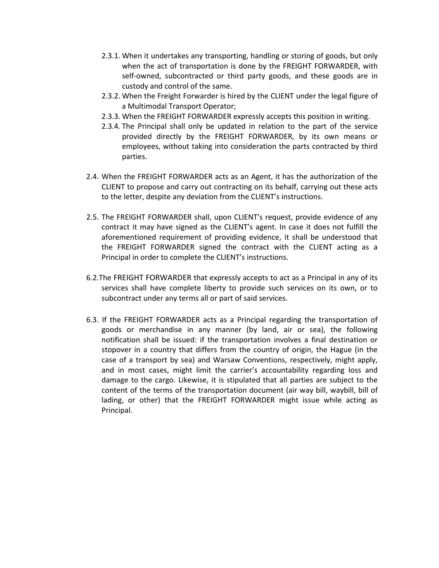- 2.3.1. When it undertakes any transporting, handling or storing of goods, but only when the act of transportation is done by the FREIGHT FORWARDER, with self-owned, subcontracted or third party goods, and these goods are in custody and control of the same.
- 2.3.2. When the Freight Forwarder is hired by the CLIENT under the legal figure of a Multimodal Transport Operator;
- 2.3.3. When the FREIGHT FORWARDER expressly accepts this position in writing.
- 2.3.4. The Principal shall only be updated in relation to the part of the service provided directly by the FREIGHT FORWARDER, by its own means or employees, without taking into consideration the parts contracted by third parties.
- 2.4. When the FREIGHT FORWARDER acts as an Agent, it has the authorization of the CLIENT to propose and carry out contracting on its behalf, carrying out these acts to the letter, despite any deviation from the CLIENT's instructions.
- 2.5. The FREIGHT FORWARDER shall, upon CLIENT's request, provide evidence of any contract it may have signed as the CLIENT's agent. In case it does not fulfill the aforementioned requirement of providing evidence, it shall be understood that the FREIGHT FORWARDER signed the contract with the CLIENT acting as a Principal in order to complete the CLIENT's instructions.
- 6.2.The FREIGHT FORWARDER that expressly accepts to act as a Principal in any of its services shall have complete liberty to provide such services on its own, or to subcontract under any terms all or part of said services.
- 6.3. If the FREIGHT FORWARDER acts as a Principal regarding the transportation of goods or merchandise in any manner (by land, air or sea), the following notification shall be issued: if the transportation involves a final destination or stopover in a country that differs from the country of origin, the Hague (in the case of a transport by sea) and Warsaw Conventions, respectively, might apply, and in most cases, might limit the carrier's accountability regarding loss and damage to the cargo. Likewise, it is stipulated that all parties are subject to the content of the terms of the transportation document (air way bill, waybill, bill of lading, or other) that the FREIGHT FORWARDER might issue while acting as Principal.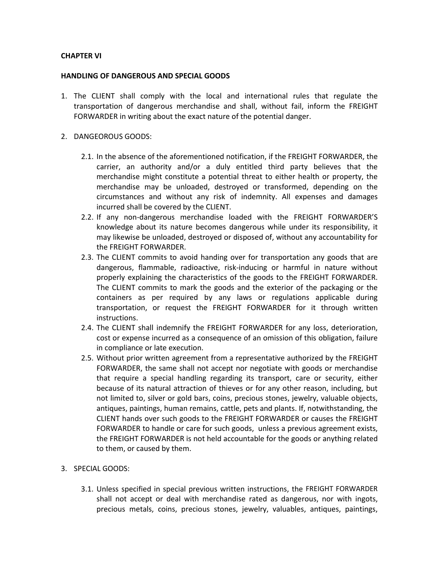## **CHAPTER VI**

### **HANDLING OF DANGEROUS AND SPECIAL GOODS**

- 1. The CLIENT shall comply with the local and international rules that regulate the transportation of dangerous merchandise and shall, without fail, inform the FREIGHT FORWARDER in writing about the exact nature of the potential danger.
- 2. DANGEOROUS GOODS:
	- 2.1. In the absence of the aforementioned notification, if the FREIGHT FORWARDER, the carrier, an authority and/or a duly entitled third party believes that the merchandise might constitute a potential threat to either health or property, the merchandise may be unloaded, destroyed or transformed, depending on the circumstances and without any risk of indemnity. All expenses and damages incurred shall be covered by the CLIENT.
	- 2.2. If any non-dangerous merchandise loaded with the FREIGHT FORWARDER'S knowledge about its nature becomes dangerous while under its responsibility, it may likewise be unloaded, destroyed or disposed of, without any accountability for the FREIGHT FORWARDER.
	- 2.3. The CLIENT commits to avoid handing over for transportation any goods that are dangerous, flammable, radioactive, risk-inducing or harmful in nature without properly explaining the characteristics of the goods to the FREIGHT FORWARDER. The CLIENT commits to mark the goods and the exterior of the packaging or the containers as per required by any laws or regulations applicable during transportation, or request the FREIGHT FORWARDER for it through written instructions.
	- 2.4. The CLIENT shall indemnify the FREIGHT FORWARDER for any loss, deterioration, cost or expense incurred as a consequence of an omission of this obligation, failure in compliance or late execution.
	- 2.5. Without prior written agreement from a representative authorized by the FREIGHT FORWARDER, the same shall not accept nor negotiate with goods or merchandise that require a special handling regarding its transport, care or security, either because of its natural attraction of thieves or for any other reason, including, but not limited to, silver or gold bars, coins, precious stones, jewelry, valuable objects, antiques, paintings, human remains, cattle, pets and plants. If, notwithstanding, the CLIENT hands over such goods to the FREIGHT FORWARDER or causes the FREIGHT FORWARDER to handle or care for such goods, unless a previous agreement exists, the FREIGHT FORWARDER is not held accountable for the goods or anything related to them, or caused by them.
- 3. SPECIAL GOODS:
	- 3.1. Unless specified in special previous written instructions, the FREIGHT FORWARDER shall not accept or deal with merchandise rated as dangerous, nor with ingots, precious metals, coins, precious stones, jewelry, valuables, antiques, paintings,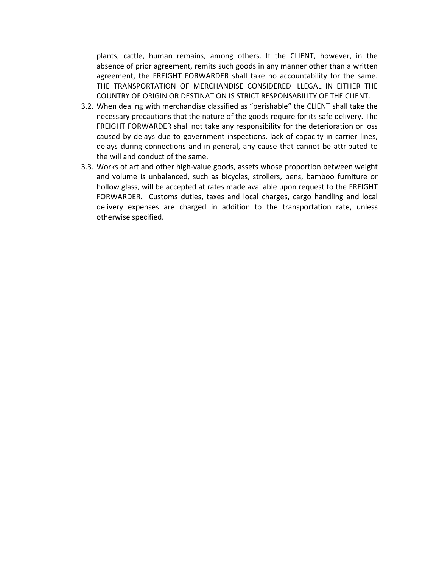plants, cattle, human remains, among others. If the CLIENT, however, in the absence of prior agreement, remits such goods in any manner other than a written agreement, the FREIGHT FORWARDER shall take no accountability for the same. THE TRANSPORTATION OF MERCHANDISE CONSIDERED ILLEGAL IN EITHER THE COUNTRY OF ORIGIN OR DESTINATION IS STRICT RESPONSABILITY OF THE CLIENT.

- 3.2. When dealing with merchandise classified as "perishable" the CLIENT shall take the necessary precautions that the nature of the goods require for its safe delivery. The FREIGHT FORWARDER shall not take any responsibility for the deterioration or loss caused by delays due to government inspections, lack of capacity in carrier lines, delays during connections and in general, any cause that cannot be attributed to the will and conduct of the same.
- 3.3. Works of art and other high-value goods, assets whose proportion between weight and volume is unbalanced, such as bicycles, strollers, pens, bamboo furniture or hollow glass, will be accepted at rates made available upon request to the FREIGHT FORWARDER. Customs duties, taxes and local charges, cargo handling and local delivery expenses are charged in addition to the transportation rate, unless otherwise specified.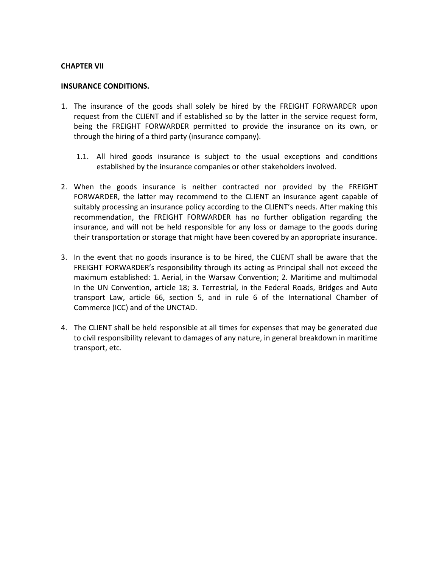#### **CHAPTER VII**

#### **INSURANCE CONDITIONS.**

- 1. The insurance of the goods shall solely be hired by the FREIGHT FORWARDER upon request from the CLIENT and if established so by the latter in the service request form, being the FREIGHT FORWARDER permitted to provide the insurance on its own, or through the hiring of a third party (insurance company).
	- 1.1. All hired goods insurance is subject to the usual exceptions and conditions established by the insurance companies or other stakeholders involved.
- 2. When the goods insurance is neither contracted nor provided by the FREIGHT FORWARDER, the latter may recommend to the CLIENT an insurance agent capable of suitably processing an insurance policy according to the CLIENT's needs. After making this recommendation, the FREIGHT FORWARDER has no further obligation regarding the insurance, and will not be held responsible for any loss or damage to the goods during their transportation or storage that might have been covered by an appropriate insurance.
- 3. In the event that no goods insurance is to be hired, the CLIENT shall be aware that the FREIGHT FORWARDER's responsibility through its acting as Principal shall not exceed the maximum established: 1. Aerial, in the Warsaw Convention; 2. Maritime and multimodal In the UN Convention, article 18; 3. Terrestrial, in the Federal Roads, Bridges and Auto transport Law, article 66, section 5, and in rule 6 of the International Chamber of Commerce (ICC) and of the UNCTAD.
- 4. The CLIENT shall be held responsible at all times for expenses that may be generated due to civil responsibility relevant to damages of any nature, in general breakdown in maritime transport, etc.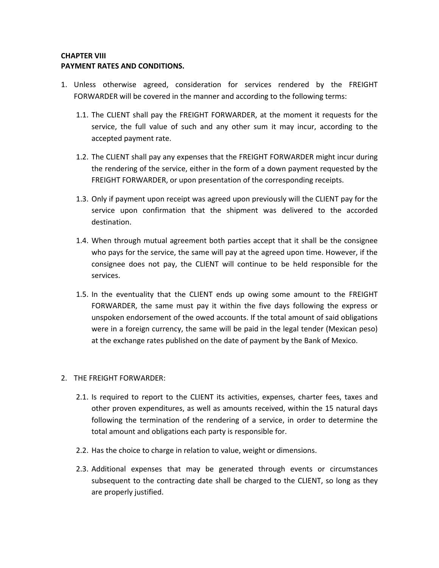# **CHAPTER VIII PAYMENT RATES AND CONDITIONS.**

- 1. Unless otherwise agreed, consideration for services rendered by the FREIGHT FORWARDER will be covered in the manner and according to the following terms:
	- 1.1. The CLIENT shall pay the FREIGHT FORWARDER, at the moment it requests for the service, the full value of such and any other sum it may incur, according to the accepted payment rate.
	- 1.2. The CLIENT shall pay any expenses that the FREIGHT FORWARDER might incur during the rendering of the service, either in the form of a down payment requested by the FREIGHT FORWARDER, or upon presentation of the corresponding receipts.
	- 1.3. Only if payment upon receipt was agreed upon previously will the CLIENT pay for the service upon confirmation that the shipment was delivered to the accorded destination.
	- 1.4. When through mutual agreement both parties accept that it shall be the consignee who pays for the service, the same will pay at the agreed upon time. However, if the consignee does not pay, the CLIENT will continue to be held responsible for the services.
	- 1.5. In the eventuality that the CLIENT ends up owing some amount to the FREIGHT FORWARDER, the same must pay it within the five days following the express or unspoken endorsement of the owed accounts. If the total amount of said obligations were in a foreign currency, the same will be paid in the legal tender (Mexican peso) at the exchange rates published on the date of payment by the Bank of Mexico.

# 2. THE FREIGHT FORWARDER:

- 2.1. Is required to report to the CLIENT its activities, expenses, charter fees, taxes and other proven expenditures, as well as amounts received, within the 15 natural days following the termination of the rendering of a service, in order to determine the total amount and obligations each party is responsible for.
- 2.2. Has the choice to charge in relation to value, weight or dimensions.
- 2.3. Additional expenses that may be generated through events or circumstances subsequent to the contracting date shall be charged to the CLIENT, so long as they are properly justified.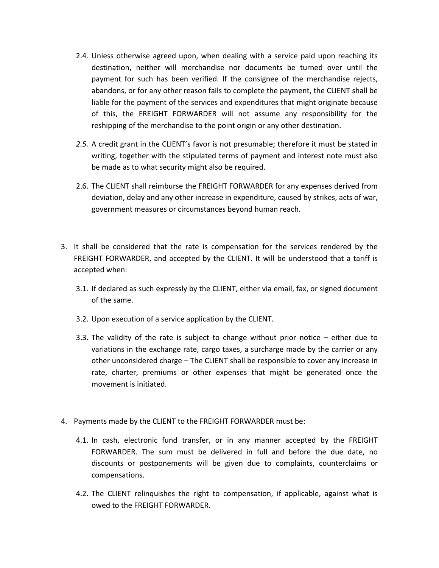- 2.4. Unless otherwise agreed upon, when dealing with a service paid upon reaching its destination, neither will merchandise nor documents be turned over until the payment for such has been verified. If the consignee of the merchandise rejects, abandons, or for any other reason fails to complete the payment, the CLIENT shall be liable for the payment of the services and expenditures that might originate because of this, the FREIGHT FORWARDER will not assume any responsibility for the reshipping of the merchandise to the point origin or any other destination.
- *2.5.* A credit grant in the CLIENT's favor is not presumable; therefore it must be stated in writing, together with the stipulated terms of payment and interest note must also be made as to what security might also be required.
- 2.6. The CLIENT shall reimburse the FREIGHT FORWARDER for any expenses derived from deviation, delay and any other increase in expenditure, caused by strikes, acts of war, government measures or circumstances beyond human reach.
- 3. It shall be considered that the rate is compensation for the services rendered by the FREIGHT FORWARDER, and accepted by the CLIENT. It will be understood that a tariff is accepted when:
	- 3.1. If declared as such expressly by the CLIENT, either via email, fax, or signed document of the same.
	- 3.2. Upon execution of a service application by the CLIENT.
	- 3.3. The validity of the rate is subject to change without prior notice either due to variations in the exchange rate, cargo taxes, a surcharge made by the carrier or any other unconsidered charge – The CLIENT shall be responsible to cover any increase in rate, charter, premiums or other expenses that might be generated once the movement is initiated.
- 4. Payments made by the CLIENT to the FREIGHT FORWARDER must be:
	- 4.1. In cash, electronic fund transfer, or in any manner accepted by the FREIGHT FORWARDER. The sum must be delivered in full and before the due date, no discounts or postponements will be given due to complaints, counterclaims or compensations.
	- 4.2. The CLIENT relinquishes the right to compensation, if applicable, against what is owed to the FREIGHT FORWARDER.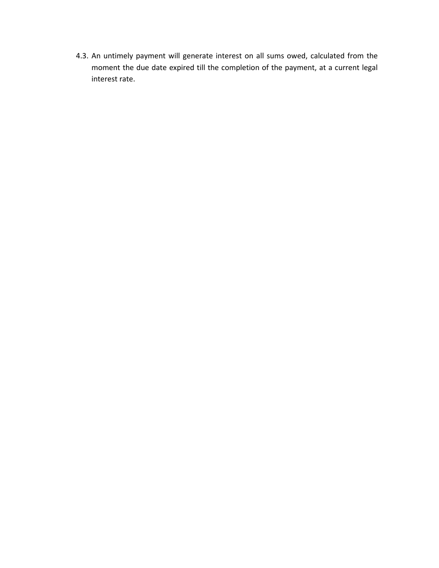4.3. An untimely payment will generate interest on all sums owed, calculated from the moment the due date expired till the completion of the payment, at a current legal interest rate.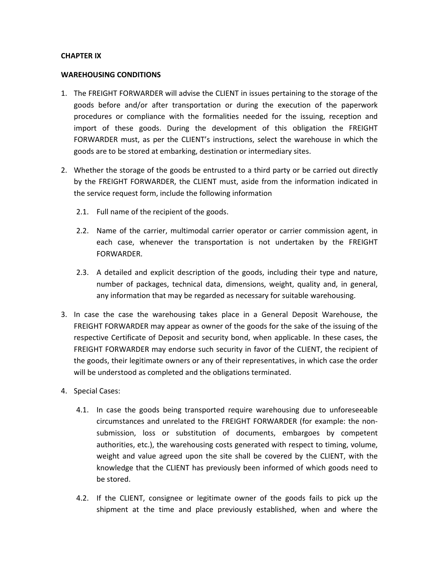### **CHAPTER IX**

# **WAREHOUSING CONDITIONS**

- 1. The FREIGHT FORWARDER will advise the CLIENT in issues pertaining to the storage of the goods before and/or after transportation or during the execution of the paperwork procedures or compliance with the formalities needed for the issuing, reception and import of these goods. During the development of this obligation the FREIGHT FORWARDER must, as per the CLIENT's instructions, select the warehouse in which the goods are to be stored at embarking, destination or intermediary sites.
- 2. Whether the storage of the goods be entrusted to a third party or be carried out directly by the FREIGHT FORWARDER, the CLIENT must, aside from the information indicated in the service request form, include the following information
	- 2.1. Full name of the recipient of the goods.
	- 2.2. Name of the carrier, multimodal carrier operator or carrier commission agent, in each case, whenever the transportation is not undertaken by the FREIGHT FORWARDER.
	- 2.3. A detailed and explicit description of the goods, including their type and nature, number of packages, technical data, dimensions, weight, quality and, in general, any information that may be regarded as necessary for suitable warehousing.
- 3. In case the case the warehousing takes place in a General Deposit Warehouse, the FREIGHT FORWARDER may appear as owner of the goods for the sake of the issuing of the respective Certificate of Deposit and security bond, when applicable. In these cases, the FREIGHT FORWARDER may endorse such security in favor of the CLIENT, the recipient of the goods, their legitimate owners or any of their representatives, in which case the order will be understood as completed and the obligations terminated.
- 4. Special Cases:
	- 4.1. In case the goods being transported require warehousing due to unforeseeable circumstances and unrelated to the FREIGHT FORWARDER (for example: the nonsubmission, loss or substitution of documents, embargoes by competent authorities, etc.), the warehousing costs generated with respect to timing, volume, weight and value agreed upon the site shall be covered by the CLIENT, with the knowledge that the CLIENT has previously been informed of which goods need to be stored.
	- 4.2. If the CLIENT, consignee or legitimate owner of the goods fails to pick up the shipment at the time and place previously established, when and where the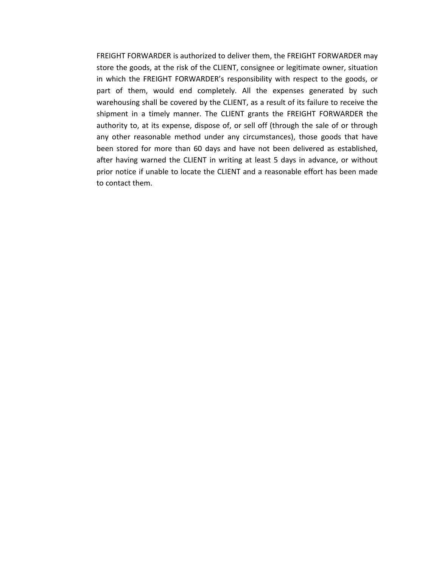FREIGHT FORWARDER is authorized to deliver them, the FREIGHT FORWARDER may store the goods, at the risk of the CLIENT, consignee or legitimate owner, situation in which the FREIGHT FORWARDER's responsibility with respect to the goods, or part of them, would end completely. All the expenses generated by such warehousing shall be covered by the CLIENT, as a result of its failure to receive the shipment in a timely manner. The CLIENT grants the FREIGHT FORWARDER the authority to, at its expense, dispose of, or sell off (through the sale of or through any other reasonable method under any circumstances), those goods that have been stored for more than 60 days and have not been delivered as established, after having warned the CLIENT in writing at least 5 days in advance, or without prior notice if unable to locate the CLIENT and a reasonable effort has been made to contact them.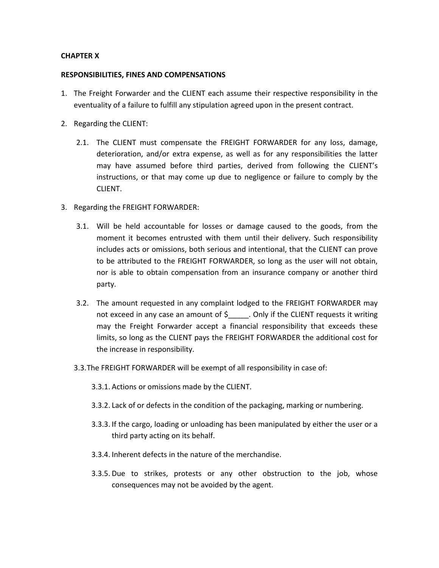## **CHAPTER X**

### **RESPONSIBILITIES, FINES AND COMPENSATIONS**

- 1. The Freight Forwarder and the CLIENT each assume their respective responsibility in the eventuality of a failure to fulfill any stipulation agreed upon in the present contract.
- 2. Regarding the CLIENT:
	- 2.1. The CLIENT must compensate the FREIGHT FORWARDER for any loss, damage, deterioration, and/or extra expense, as well as for any responsibilities the latter may have assumed before third parties, derived from following the CLIENT's instructions, or that may come up due to negligence or failure to comply by the CLIENT.
- 3. Regarding the FREIGHT FORWARDER:
	- 3.1. Will be held accountable for losses or damage caused to the goods, from the moment it becomes entrusted with them until their delivery. Such responsibility includes acts or omissions, both serious and intentional, that the CLIENT can prove to be attributed to the FREIGHT FORWARDER, so long as the user will not obtain, nor is able to obtain compensation from an insurance company or another third party.
	- 3.2. The amount requested in any complaint lodged to the FREIGHT FORWARDER may not exceed in any case an amount of \$\_\_\_\_\_. Only if the CLIENT requests it writing may the Freight Forwarder accept a financial responsibility that exceeds these limits, so long as the CLIENT pays the FREIGHT FORWARDER the additional cost for the increase in responsibility.
	- 3.3.The FREIGHT FORWARDER will be exempt of all responsibility in case of:
		- 3.3.1. Actions or omissions made by the CLIENT.
		- 3.3.2. Lack of or defects in the condition of the packaging, marking or numbering.
		- 3.3.3. If the cargo, loading or unloading has been manipulated by either the user or a third party acting on its behalf.
		- 3.3.4. Inherent defects in the nature of the merchandise.
		- 3.3.5. Due to strikes, protests or any other obstruction to the job, whose consequences may not be avoided by the agent.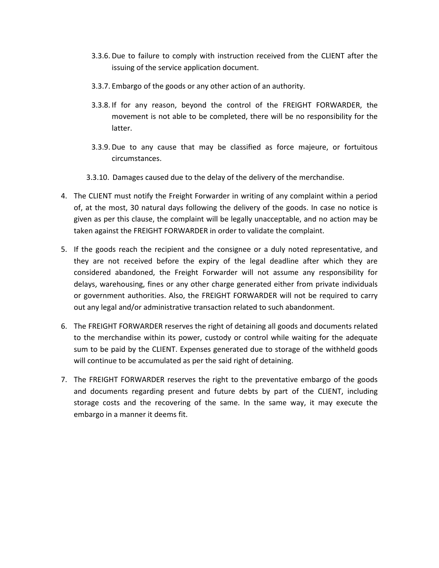- 3.3.6. Due to failure to comply with instruction received from the CLIENT after the issuing of the service application document.
- 3.3.7. Embargo of the goods or any other action of an authority.
- 3.3.8. If for any reason, beyond the control of the FREIGHT FORWARDER, the movement is not able to be completed, there will be no responsibility for the latter.
- 3.3.9. Due to any cause that may be classified as force majeure, or fortuitous circumstances.
- 3.3.10. Damages caused due to the delay of the delivery of the merchandise.
- 4. The CLIENT must notify the Freight Forwarder in writing of any complaint within a period of, at the most, 30 natural days following the delivery of the goods. In case no notice is given as per this clause, the complaint will be legally unacceptable, and no action may be taken against the FREIGHT FORWARDER in order to validate the complaint.
- 5. If the goods reach the recipient and the consignee or a duly noted representative, and they are not received before the expiry of the legal deadline after which they are considered abandoned, the Freight Forwarder will not assume any responsibility for delays, warehousing, fines or any other charge generated either from private individuals or government authorities. Also, the FREIGHT FORWARDER will not be required to carry out any legal and/or administrative transaction related to such abandonment.
- 6. The FREIGHT FORWARDER reserves the right of detaining all goods and documents related to the merchandise within its power, custody or control while waiting for the adequate sum to be paid by the CLIENT. Expenses generated due to storage of the withheld goods will continue to be accumulated as per the said right of detaining.
- 7. The FREIGHT FORWARDER reserves the right to the preventative embargo of the goods and documents regarding present and future debts by part of the CLIENT, including storage costs and the recovering of the same. In the same way, it may execute the embargo in a manner it deems fit.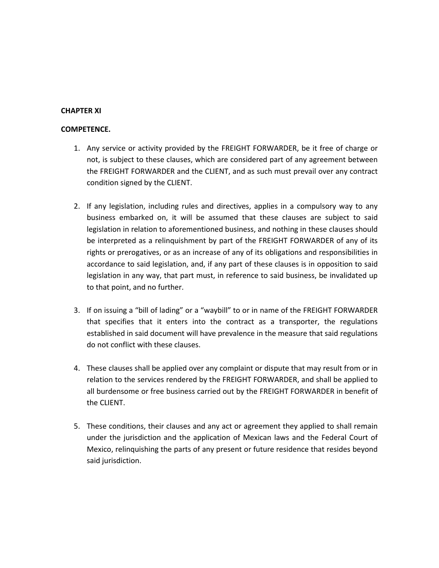# **CHAPTER XI**

### **COMPETENCE.**

- 1. Any service or activity provided by the FREIGHT FORWARDER, be it free of charge or not, is subject to these clauses, which are considered part of any agreement between the FREIGHT FORWARDER and the CLIENT, and as such must prevail over any contract condition signed by the CLIENT.
- 2. If any legislation, including rules and directives, applies in a compulsory way to any business embarked on, it will be assumed that these clauses are subject to said legislation in relation to aforementioned business, and nothing in these clauses should be interpreted as a relinquishment by part of the FREIGHT FORWARDER of any of its rights or prerogatives, or as an increase of any of its obligations and responsibilities in accordance to said legislation, and, if any part of these clauses is in opposition to said legislation in any way, that part must, in reference to said business, be invalidated up to that point, and no further.
- 3. If on issuing a "bill of lading" or a "waybill" to or in name of the FREIGHT FORWARDER that specifies that it enters into the contract as a transporter, the regulations established in said document will have prevalence in the measure that said regulations do not conflict with these clauses.
- 4. These clauses shall be applied over any complaint or dispute that may result from or in relation to the services rendered by the FREIGHT FORWARDER, and shall be applied to all burdensome or free business carried out by the FREIGHT FORWARDER in benefit of the CLIENT.
- 5. These conditions, their clauses and any act or agreement they applied to shall remain under the jurisdiction and the application of Mexican laws and the Federal Court of Mexico, relinquishing the parts of any present or future residence that resides beyond said jurisdiction.